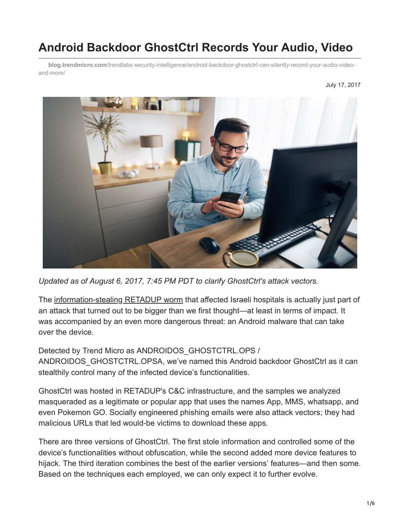# **Android Backdoor GhostCtrl Records Your Audio, Video**

**blog.trendmicro.com**[/trendlabs-security-intelligence/android-backdoor-ghostctrl-can-silently-record-your-audio-video](https://blog.trendmicro.com/trendlabs-security-intelligence/android-backdoor-ghostctrl-can-silently-record-your-audio-video-and-more/)and-more/



*Updated as of August 6, 2017, 7:45 PM PDT to clarify GhostCtrl's attack vectors.*

The [information-stealing RETADUP worm](https://blog.trendmicro.com/en_us/research/17/f/information-stealer-found-hitting-israeli-hospitals.html) that affected Israeli hospitals is actually just part of an attack that turned out to be bigger than we first thought—at least in terms of impact. It was accompanied by an even more dangerous threat: an Android malware that can take over the device.

Detected by Trend Micro as ANDROIDOS\_GHOSTCTRL.OPS / ANDROIDOS\_GHOSTCTRL.OPSA, we've named this Android backdoor GhostCtrl as it can stealthily control many of the infected device's functionalities.

GhostCtrl was hosted in RETADUP's C&C infrastructure, and the samples we analyzed masqueraded as a legitimate or popular app that uses the names App, MMS, whatsapp, and even Pokemon GO. Socially engineered phishing emails were also attack vectors; they had malicious URLs that led would-be victims to download these apps.

There are three versions of GhostCtrl. The first stole information and controlled some of the device's functionalities without obfuscation, while the second added more device features to hijack. The third iteration combines the best of the earlier versions' features—and then some. Based on the techniques each employed, we can only expect it to further evolve.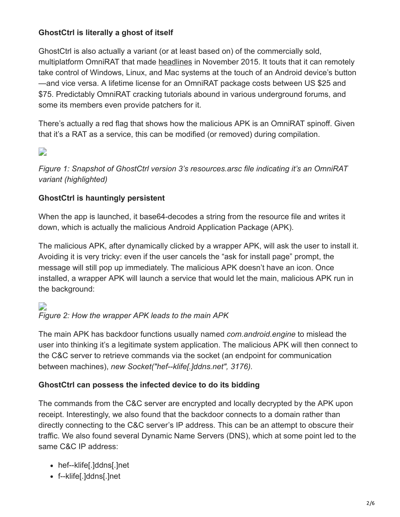### **GhostCtrl is literally a ghost of itself**

GhostCtrl is also actually a variant (or at least based on) of the commercially sold, multiplatform OmniRAT that made [headlines](http://www.zdnet.com/article/omnirat-on-the-loose-spywares-nibbling-android-with-a-taste-for-linux-mac-and-windows/) in November 2015. It touts that it can remotely take control of Windows, Linux, and Mac systems at the touch of an Android device's button —and vice versa. A lifetime license for an OmniRAT package costs between US \$25 and \$75. Predictably OmniRAT cracking tutorials abound in various underground forums, and some its members even provide patchers for it.

There's actually a red flag that shows how the malicious APK is an OmniRAT spinoff. Given that it's a RAT as a service, this can be modified (or removed) during compilation.

# D

*Figure 1: Snapshot of GhostCtrl version 3's resources.arsc file indicating it's an OmniRAT variant (highlighted)*

#### **GhostCtrl is hauntingly persistent**

When the app is launched, it base64-decodes a string from the resource file and writes it down, which is actually the malicious Android Application Package (APK).

The malicious APK, after dynamically clicked by a wrapper APK, will ask the user to install it. Avoiding it is very tricky: even if the user cancels the "ask for install page" prompt, the message will still pop up immediately. The malicious APK doesn't have an icon. Once installed, a wrapper APK will launch a service that would let the main, malicious APK run in the background:

#### Ð *Figure 2: How the wrapper APK leads to the main APK*

The main APK has backdoor functions usually named *com.android.engine* to mislead the user into thinking it's a legitimate system application. The malicious APK will then connect to the C&C server to retrieve commands via the socket (an endpoint for communication between machines), *new Socket("hef--klife[.]ddns.net", 3176).*

#### **GhostCtrl can possess the infected device to do its bidding**

The commands from the C&C server are encrypted and locally decrypted by the APK upon receipt. Interestingly, we also found that the backdoor connects to a domain rather than directly connecting to the C&C server's IP address. This can be an attempt to obscure their traffic. We also found several Dynamic Name Servers (DNS), which at some point led to the same C&C IP address:

- hef--klife[.]ddns[.]net
- f--klife[.]ddns[.]net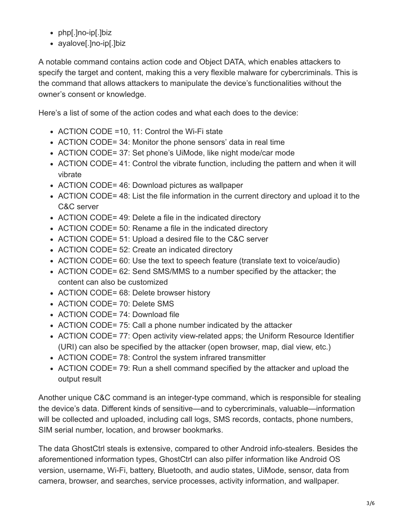- php[.]no-ip[.]biz
- ayalove[.]no-ip[.]biz

A notable command contains action code and Object DATA, which enables attackers to specify the target and content, making this a very flexible malware for cybercriminals. This is the command that allows attackers to manipulate the device's functionalities without the owner's consent or knowledge.

Here's a list of some of the action codes and what each does to the device:

- ACTION CODE = 10, 11: Control the Wi-Fi state
- ACTION CODE= 34: Monitor the phone sensors' data in real time
- ACTION CODE= 37: Set phone's UiMode, like night mode/car mode
- ACTION CODE= 41: Control the vibrate function, including the pattern and when it will vibrate
- ACTION CODE= 46: Download pictures as wallpaper
- ACTION CODE= 48: List the file information in the current directory and upload it to the C&C server
- ACTION CODE= 49: Delete a file in the indicated directory
- ACTION CODE= 50: Rename a file in the indicated directory
- ACTION CODE= 51: Upload a desired file to the C&C server
- ACTION CODE= 52: Create an indicated directory
- ACTION CODE= 60: Use the text to speech feature (translate text to voice/audio)
- ACTION CODE= 62: Send SMS/MMS to a number specified by the attacker; the content can also be customized
- ACTION CODE= 68: Delete browser history
- ACTION CODE= 70: Delete SMS
- ACTION CODE= 74: Download file
- ACTION CODE= 75: Call a phone number indicated by the attacker
- ACTION CODE= 77: Open activity view-related apps; the Uniform Resource Identifier (URI) can also be specified by the attacker (open browser, map, dial view, etc.)
- ACTION CODE= 78: Control the system infrared transmitter
- ACTION CODE= 79: Run a shell command specified by the attacker and upload the output result

Another unique C&C command is an integer-type command, which is responsible for stealing the device's data. Different kinds of sensitive—and to cybercriminals, valuable—information will be collected and uploaded, including call logs, SMS records, contacts, phone numbers, SIM serial number, location, and browser bookmarks.

The data GhostCtrl steals is extensive, compared to other Android info-stealers. Besides the aforementioned information types, GhostCtrl can also pilfer information like Android OS version, username, Wi-Fi, battery, Bluetooth, and audio states, UiMode, sensor, data from camera, browser, and searches, service processes, activity information, and wallpaper.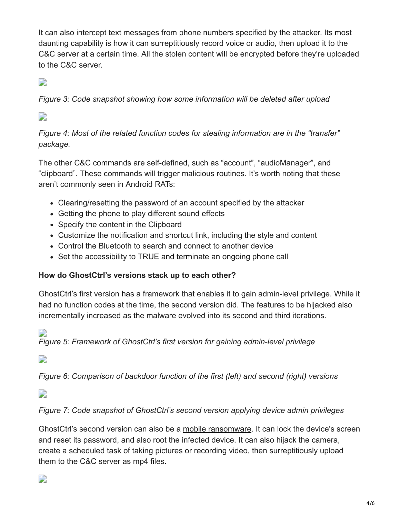It can also intercept text messages from phone numbers specified by the attacker. Its most daunting capability is how it can surreptitiously record voice or audio, then upload it to the C&C server at a certain time. All the stolen content will be encrypted before they're uploaded to the C&C server.

# D

*Figure 3: Code snapshot showing how some information will be deleted after upload*

 $\overline{\phantom{a}}$ 

*Figure 4: Most of the related function codes for stealing information are in the "transfer" package.*

The other C&C commands are self-defined, such as "account", "audioManager", and "clipboard". These commands will trigger malicious routines. It's worth noting that these aren't commonly seen in Android RATs:

- Clearing/resetting the password of an account specified by the attacker
- Getting the phone to play different sound effects
- Specify the content in the Clipboard
- Customize the notification and shortcut link, including the style and content
- Control the Bluetooth to search and connect to another device
- Set the accessibility to TRUE and terminate an ongoing phone call

#### **How do GhostCtrl's versions stack up to each other?**

GhostCtrl's first version has a framework that enables it to gain admin-level privilege. While it had no function codes at the time, the second version did. The features to be hijacked also incrementally increased as the malware evolved into its second and third iterations.

# D

*Figure 5: Framework of GhostCtrl's first version for gaining admin-level privilege*

 $\overline{\phantom{a}}$ 

*Figure 6: Comparison of backdoor function of the first (left) and second (right) versions*

 $\overline{\phantom{a}}$ 

*Figure 7: Code snapshot of GhostCtrl's second version applying device admin privileges*

GhostCtrl's second version can also be a [mobile ransomware.](http://blog.trendmicro.com/trendlabs-security-intelligence/2016-mobile-threat-landscape/) It can lock the device's screen and reset its password, and also root the infected device. It can also hijack the camera, create a scheduled task of taking pictures or recording video, then surreptitiously upload them to the C&C server as mp4 files.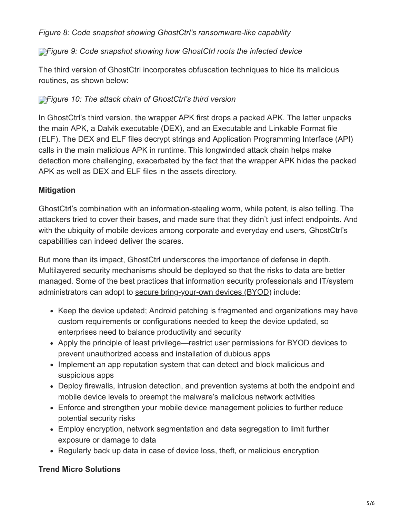*Figure 8: Code snapshot showing GhostCtrl's ransomware-like capability*

#### *Figure 9: Code snapshot showing how GhostCtrl roots the infected device*

The third version of GhostCtrl incorporates obfuscation techniques to hide its malicious routines, as shown below:

#### *[F](https://blog.trendmicro.com/content/dam/trendmicro/global/en/migrated/security-intelligence-migration-spreadsheet/trendlabs-security-intelligence/2017/07/ghostctrl-android-backdoor-10-1.jpg)igure 10: The attack chain of GhostCtrl's third version*

In GhostCtrl's third version, the wrapper APK first drops a packed APK. The latter unpacks the main APK, a Dalvik executable (DEX), and an Executable and Linkable Format file (ELF). The DEX and ELF files decrypt strings and Application Programming Interface (API) calls in the main malicious APK in runtime. This longwinded attack chain helps make detection more challenging, exacerbated by the fact that the wrapper APK hides the packed APK as well as DEX and ELF files in the assets directory.

#### **Mitigation**

GhostCtrl's combination with an information-stealing worm, while potent, is also telling. The attackers tried to cover their bases, and made sure that they didn't just infect endpoints. And with the ubiquity of mobile devices among corporate and everyday end users, GhostCtrl's capabilities can indeed deliver the scares.

But more than its impact, GhostCtrl underscores the importance of defense in depth. Multilayered security mechanisms should be deployed so that the risks to data are better managed. Some of the best practices that information security professionals and IT/system administrators can adopt to [secure bring-your-own devices \(BYOD\)](https://www.trendmicro.com/vinfo/tmr/?/us/security/news/cybercrime-and-digital-threats/-infosec-guide-bring-your-own-device-byod) include:

- Keep the device updated; Android patching is fragmented and organizations may have custom requirements or configurations needed to keep the device updated, so enterprises need to balance productivity and security
- Apply the principle of least privilege—restrict user permissions for BYOD devices to prevent unauthorized access and installation of dubious apps
- Implement an app reputation system that can detect and block malicious and suspicious apps
- Deploy firewalls, intrusion detection, and prevention systems at both the endpoint and mobile device levels to preempt the malware's malicious network activities
- Enforce and strengthen your mobile device management policies to further reduce potential security risks
- Employ encryption, network segmentation and data segregation to limit further exposure or damage to data
- Regularly back up data in case of device loss, theft, or malicious encryption

#### **Trend Micro Solutions**